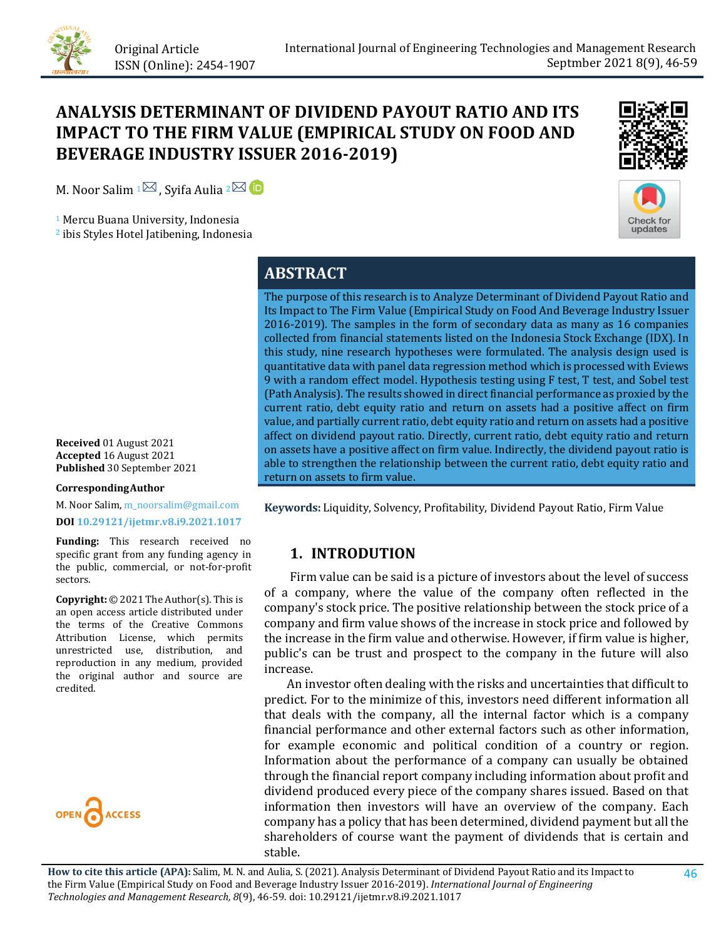

# **ANALYSIS DETERMINANT OF DIVIDEND PAYOUT RATIO AND ITS IMPACT TO THE FIRM VALUE (EMPIRICAL STUDY ON FOOD AND BEVERAGE INDUSTRY ISSUER 2016-2019)**

M. Noor Salim  $1\overline{2}$ , Syifa Aulia  $2\overline{2}$  **D** 

<sup>1</sup> Mercu Buana University, Indonesia

<sup>2</sup> ibis Styles Hotel Jatibening, Indonesia





# **ABSTRACT**

The purpose of this research is to Analyze Determinant of Dividend Payout Ratio and Its Impact to The Firm Value (Empirical Study on Food And Beverage Industry Issuer 2016-2019). The samples in the form of secondary data as many as 16 companies collected from financial statements listed on the Indonesia Stock Exchange (IDX). In this study, nine research hypotheses were formulated. The analysis design used is quantitative data with panel data regression method which is processed with Eviews 9 with a random effect model. Hypothesis testing using F test, T test, and Sobel test (Path Analysis). The results showed in direct financial performance as proxied by the current ratio, debt equity ratio and return on assets had a positive affect on firm value, and partially current ratio, debt equity ratio and return on assets had a positive affect on dividend payout ratio. Directly, current ratio, debt equity ratio and return on assets have a positive affect on firm value. Indirectly, the dividend payout ratio is able to strengthen the relationship between the current ratio, debt equity ratio and return on assets to firm value.

**Keywords:** Liquidity, Solvency, Profitability, Dividend Payout Ratio, Firm Value

## **1. INTRODUTION**

 Firm value can be said is a picture of investors about the level of success of a company, where the value of the company often reflected in the company's stock price. The positive relationship between the stock price of a company and firm value shows of the increase in stock price and followed by the increase in the firm value and otherwise. However, if firm value is higher, public's can be trust and prospect to the company in the future will also increase.

 An investor often dealing with the risks and uncertainties that difficult to predict. For to the minimize of this, investors need different information all that deals with the company, all the internal factor which is a company financial performance and other external factors such as other information, for example economic and political condition of a country or region. Information about the performance of a company can usually be obtained through the financial report company including information about profit and dividend produced every piece of the company shares issued. Based on that information then investors will have an overview of the company. Each company has a policy that has been determined, dividend payment but all the shareholders of course want the payment of dividends that is certain and stable.

**Received** 01 August 2021 **Accepted** 16 August 2021 **Published** 30 September 2021

#### **CorrespondingAuthor**

M. Noor Salim, m\_noorsalim@gmail.com **DOI [10.29121/ijetmr.v8.i9.2021.1017](https://dx.doi.org/10.29121/ijetmr.v8.i9.2021.1017)**

**Funding:** This research received no specific grant from any funding agency in the public, commercial, or not-for-profit sectors.

**Copyright:** © 2021 The Author(s). This is an open access article distributed under the terms of the Creative Commons Attribution License, which permits unrestricted use, distribution, and reproduction in any medium, provided the original author and source are credited.

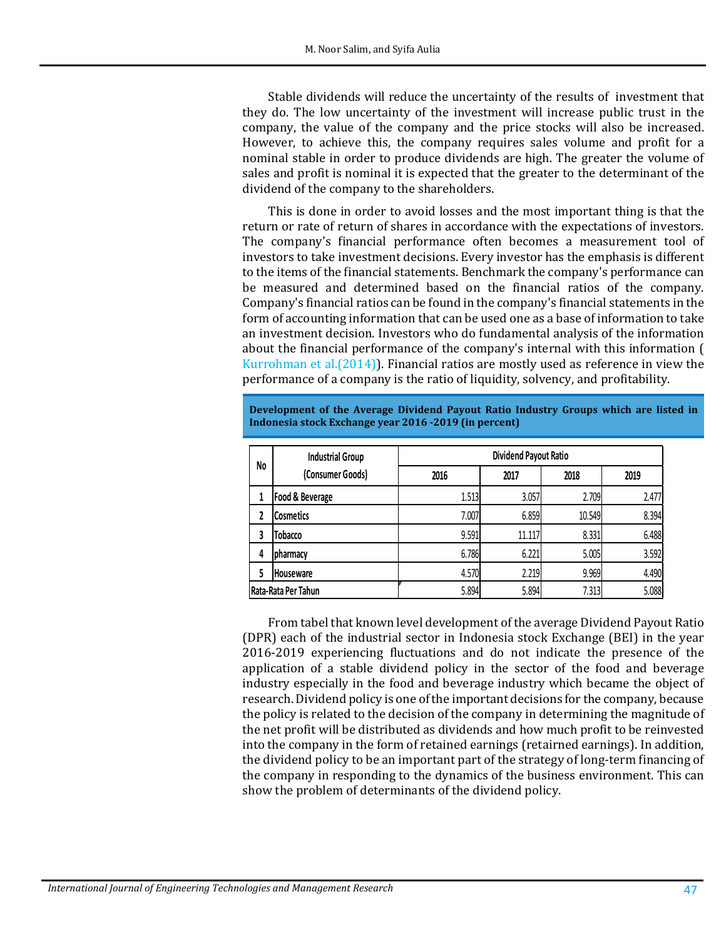Stable dividends will reduce the uncertainty of the results of investment that they do. The low uncertainty of the investment will increase public trust in the company, the value of the company and the price stocks will also be increased. However, to achieve this, the company requires sales volume and profit for a nominal stable in order to produce dividends are high. The greater the volume of sales and profit is nominal it is expected that the greater to the determinant of the dividend of the company to the shareholders.

This is done in order to avoid losses and the most important thing is that the return or rate of return of shares in accordance with the expectations of investors. The company's financial performance often becomes a measurement tool of investors to take investment decisions. Every investor has the emphasis is different to the items of the financial statements. Benchmark the company's performance can be measured and determined based on the financial ratios of the company. Company's financial ratios can be found in the company's financial statements in the form of accounting information that can be used one as a base of information to take an investment decision. Investors who do fundamental analysis of the information about the financial performance of the company's internal with this information [\(](#page-11-0) Kurrohman [et al.\(2014\)\)](#page-11-0). Financial ratios are mostly used as reference in view the performance of a company is the ratio of liquidity, solvency, and profitability.

| No                  | <b>Industrial Group</b> | <b>Dividend Payout Ratio</b> |        |        |       |  |  |
|---------------------|-------------------------|------------------------------|--------|--------|-------|--|--|
|                     | (Consumer Goods)        | 2016                         | 2017   | 2018   | 2019  |  |  |
|                     | Food & Beverage         | 1.513                        | 3.057  | 2.709  | 2.477 |  |  |
| 2                   | <b>Cosmetics</b>        | 7.007                        | 6.859  | 10.549 | 8.394 |  |  |
| 3                   | Tobacco                 | 9.591                        | 11.117 | 8.331  | 6.488 |  |  |
| 4                   | pharmacy                | 6.786                        | 6.221  | 5.005  | 3.592 |  |  |
| 5                   | <b>Houseware</b>        | 4.570                        | 2.219  | 9.969  | 4.490 |  |  |
| Rata-Rata Per Tahun |                         | 5.894                        | 5.894  | 7.313  | 5.088 |  |  |

**Development of the Average Dividend Payout Ratio Industry Groups which are listed in Indonesia stock Exchange year 2016 -2019 (in percent)**

From tabel that known level development of the average Dividend Payout Ratio (DPR) each of the industrial sector in Indonesia stock Exchange (BEI) in the year 2016-2019 experiencing fluctuations and do not indicate the presence of the application of a stable dividend policy in the sector of the food and beverage industry especially in the food and beverage industry which became the object of research. Dividend policy is one of the important decisions for the company, because the policy is related to the decision of the company in determining the magnitude of the net profit will be distributed as dividends and how much profit to be reinvested into the company in the form of retained earnings (retairned earnings). In addition, the dividend policy to be an important part of the strategy of long-term financing of the company in responding to the dynamics of the business environment. This can show the problem of determinants of the dividend policy.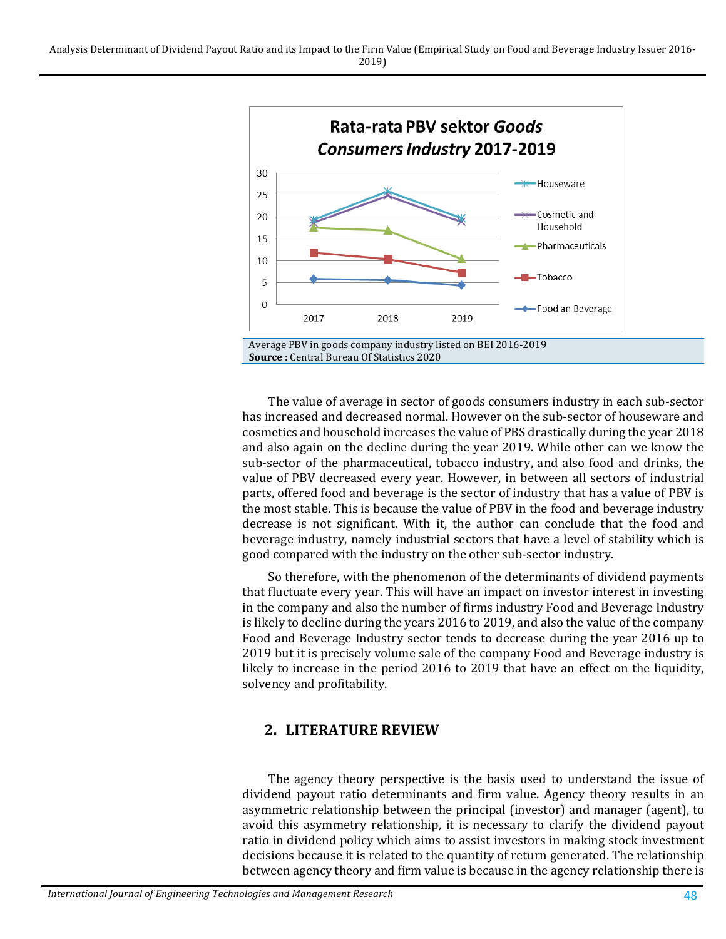

The value of average in sector of goods consumers industry in each sub-sector has increased and decreased normal. However on the sub-sector of houseware and cosmetics and household increases the value of PBS drastically during the year 2018 and also again on the decline during the year 2019. While other can we know the sub-sector of the pharmaceutical, tobacco industry, and also food and drinks, the value of PBV decreased every year. However, in between all sectors of industrial parts, offered food and beverage is the sector of industry that has a value of PBV is the most stable. This is because the value of PBV in the food and beverage industry decrease is not significant. With it, the author can conclude that the food and beverage industry, namely industrial sectors that have a level of stability which is good compared with the industry on the other sub-sector industry.

So therefore, with the phenomenon of the determinants of dividend payments that fluctuate every year. This will have an impact on investor interest in investing in the company and also the number of firms industry Food and Beverage Industry is likely to decline during the years 2016 to 2019, and also the value of the company Food and Beverage Industry sector tends to decrease during the year 2016 up to 2019 but it is precisely volume sale of the company Food and Beverage industry is likely to increase in the period 2016 to 2019 that have an effect on the liquidity, solvency and profitability.

## **2. LITERATURE REVIEW**

The agency theory perspective is the basis used to understand the issue of dividend payout ratio determinants and firm value. Agency theory results in an asymmetric relationship between the principal (investor) and manager (agent), to avoid this asymmetry relationship, it is necessary to clarify the dividend payout ratio in dividend policy which aims to assist investors in making stock investment decisions because it is related to the quantity of return generated. The relationship between agency theory and firm value is because in the agency relationship there is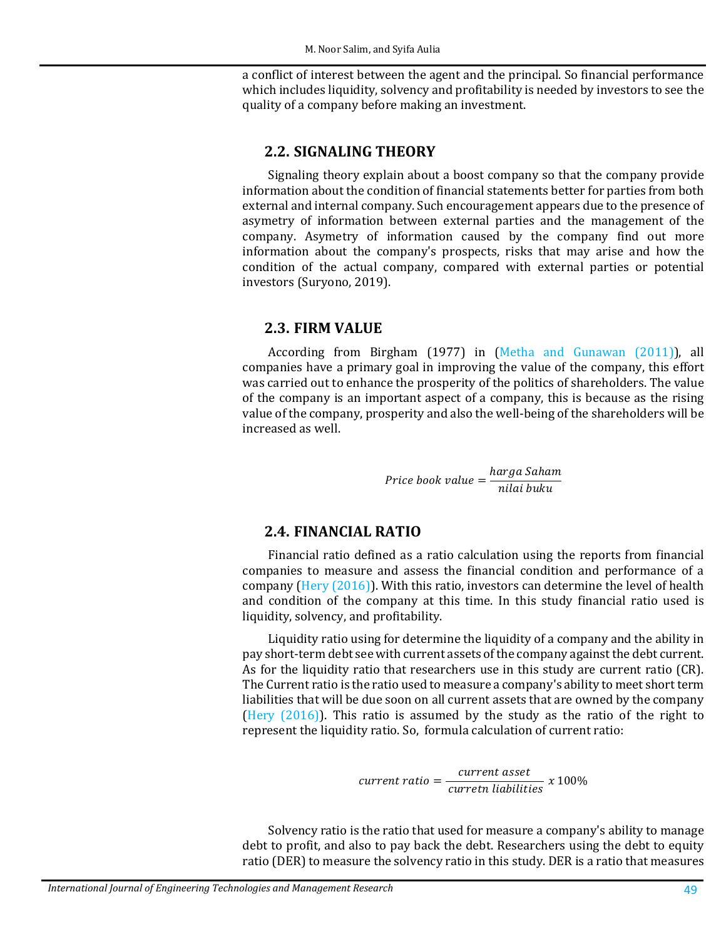a conflict of interest between the agent and the principal. So financial performance which includes liquidity, solvency and profitability is needed by investors to see the quality of a company before making an investment.

#### **2.2. SIGNALING THEORY**

Signaling theory explain about a boost company so that the company provide information about the condition of financial statements better for parties from both external and internal company. Such encouragement appears due to the presence of asymetry of information between external parties and the management of the company. Asymetry of information caused by the company find out more information about the company's prospects, risks that may arise and how the condition of the actual company, compared with external parties or potential investors (Suryono, 2019).

#### **2.3. FIRM VALUE**

According from Birgham (1977) in (Metha [and Gunawan](#page-11-1) (2011)), all companies have a primary goal in improving the value of the company, this effort was carried out to enhance the prosperity of the politics of shareholders. The value of the company is an important aspect of a company, this is because as the rising value of the company, prosperity and also the well-being of the shareholders will be increased as well.

Price book value =  $\frac{harga$  Saham<br>nilai buku

### **2.4. FINANCIAL RATIO**

Financial ratio defined as a ratio calculation using the reports from financial companies to measure and assess the financial condition and performance of a company (Hery [\(2016\)\)](#page-12-0). With this ratio, investors can determine the level of health and condition of the company at this time. In this study financial ratio used is liquidity, solvency, and profitability.

Liquidity ratio using for determine the liquidity of a company and the ability in pay short-term debt see with current assets of the company against the debt current. As for the liquidity ratio that researchers use in this study are current ratio (CR). The Current ratio is the ratio used to measure a company's ability to meet short term liabilities that will be due soon on all current assets that are owned by the company (Hery [\(2016\)\)](#page-12-0). This ratio is assumed by the study as the ratio of the right to represent the liquidity ratio. So, formula calculation of current ratio:

 $t \; ratio = \frac{current \; asset}{current \; liabilities} \; x \; 100\%$ 

Solvency ratio is the ratio that used for measure a company's ability to manage debt to profit, and also to pay back the debt. Researchers using the debt to equity ratio (DER) to measure the solvency ratio in this study. DER is a ratio that measures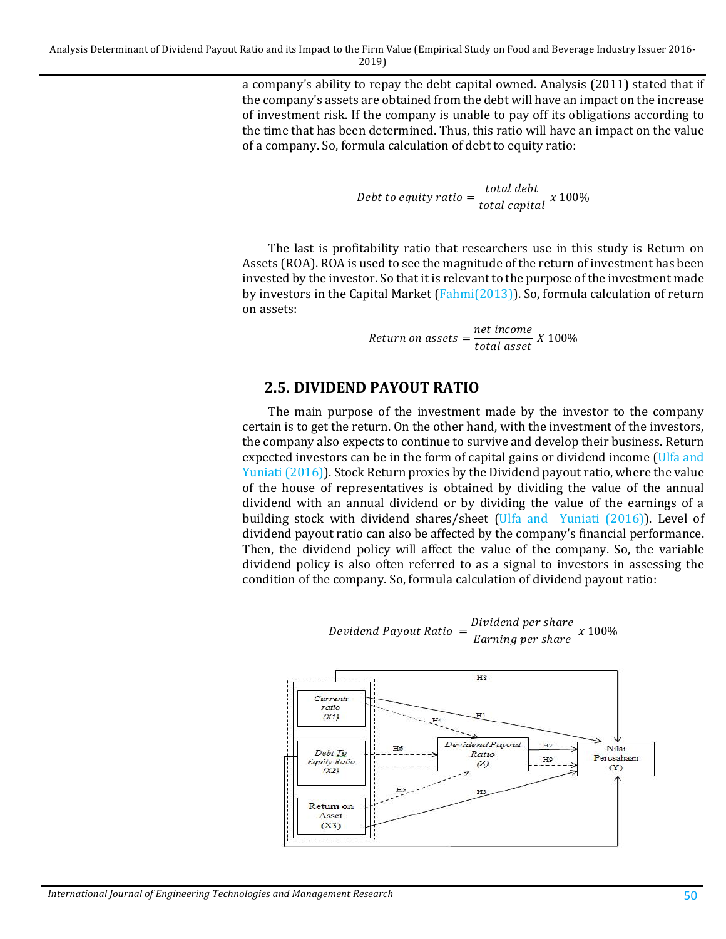a company's ability to repay the debt capital owned. Analysis (2011) stated that if the company's assets are obtained from the debt will have an impact on the increase of investment risk. If the company is unable to pay off its obligations according to the time that has been determined. Thus, this ratio will have an impact on the value of a company. So, formula calculation of debt to equity ratio:

Debt to equity ratio  $=$   $\frac{\text{total debt}}{\text{total capital}} \times 100\%$ 

The last is profitability ratio that researchers use in this study is Return on Assets (ROA). ROA is used to see the magnitude of the return of investment has been invested by the investor. So that it is relevant to the purpose of the investment made by investors in the Capital Market [\(Fahmi\(2013\)\)](#page-12-1). So, formula calculation of return on assets:

Return on assets  $=$   $\frac{net \: income}{total \: asset} \times 100\%$ 

#### **2.5. DIVIDEND PAYOUT RATIO**

The main purpose of the investment made by the investor to the company certain is to get the return. On the other hand, with the investment of the investors, the company also expects to continue to survive and develop their business. Return expected investors can be in the form of capital gains or dividend income [\(Ulfa](#page-13-0) and Yuniati [\(2016\)\)](#page-13-0). Stock Return proxies by the Dividend payout ratio, where the value of the house of representatives is obtained by dividing the value of the annual dividend with an annual dividend or by dividing the value of the earnings of a building stock with dividend shares/sheet (Ulfa [and Yuniati](#page-13-0) (2016)). Level of dividend payout ratio can also be affected by the company's financial performance. Then, the dividend policy will affect the value of the company. So, the variable dividend policy is also often referred to as a signal to investors in assessing the condition of the company. So, formula calculation of dividend payout ratio:



Devidend Payout Ratio  $=$   $\frac{Dividend}{Barning}$  per share  $x$  100%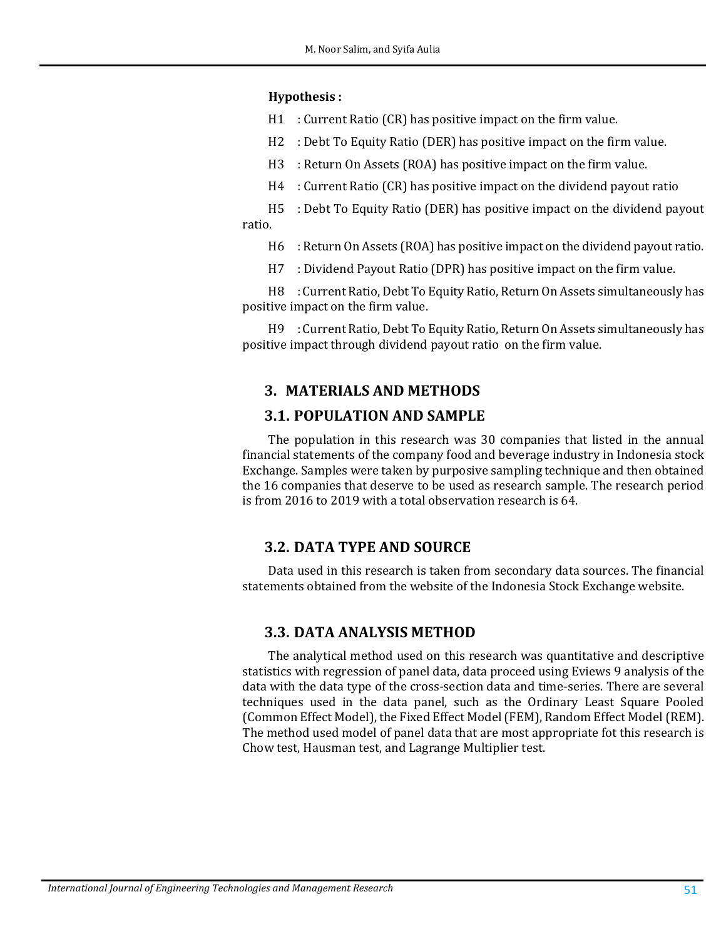#### **Hypothesis :**

H1 : Current Ratio (CR) has positive impact on the firm value.

H2 : Debt To Equity Ratio (DER) has positive impact on the firm value.

- H3 : Return On Assets (ROA) has positive impact on the firm value.
- H4 : Current Ratio (CR) has positive impact on the dividend payout ratio

H5 : Debt To Equity Ratio (DER) has positive impact on the dividend payout ratio.

- H6 : Return On Assets (ROA) has positive impact on the dividend payout ratio.
- H7 : Dividend Payout Ratio (DPR) has positive impact on the firm value.

H8 : Current Ratio, Debt To Equity Ratio, Return On Assets simultaneously has positive impact on the firm value.

H9 : Current Ratio, Debt To Equity Ratio, Return On Assets simultaneously has positive impact through dividend payout ratio on the firm value.

## **3. MATERIALS AND METHODS**

### **3.1. POPULATION AND SAMPLE**

The population in this research was 30 companies that listed in the annual financial statements of the company food and beverage industry in Indonesia stock Exchange. Samples were taken by purposive sampling technique and then obtained the 16 companies that deserve to be used as research sample. The research period is from 2016 to 2019 with a total observation research is 64.

## **3.2. DATA TYPE AND SOURCE**

Data used in this research is taken from secondary data sources. The financial statements obtained from the website of the Indonesia Stock Exchange website.

#### **3.3. DATA ANALYSIS METHOD**

The analytical method used on this research was quantitative and descriptive statistics with regression of panel data, data proceed using Eviews 9 analysis of the data with the data type of the cross-section data and time-series. There are several techniques used in the data panel, such as the Ordinary Least Square Pooled (Common Effect Model), the Fixed Effect Model (FEM), Random Effect Model (REM). The method used model of panel data that are most appropriate fot this research is Chow test, Hausman test, and Lagrange Multiplier test.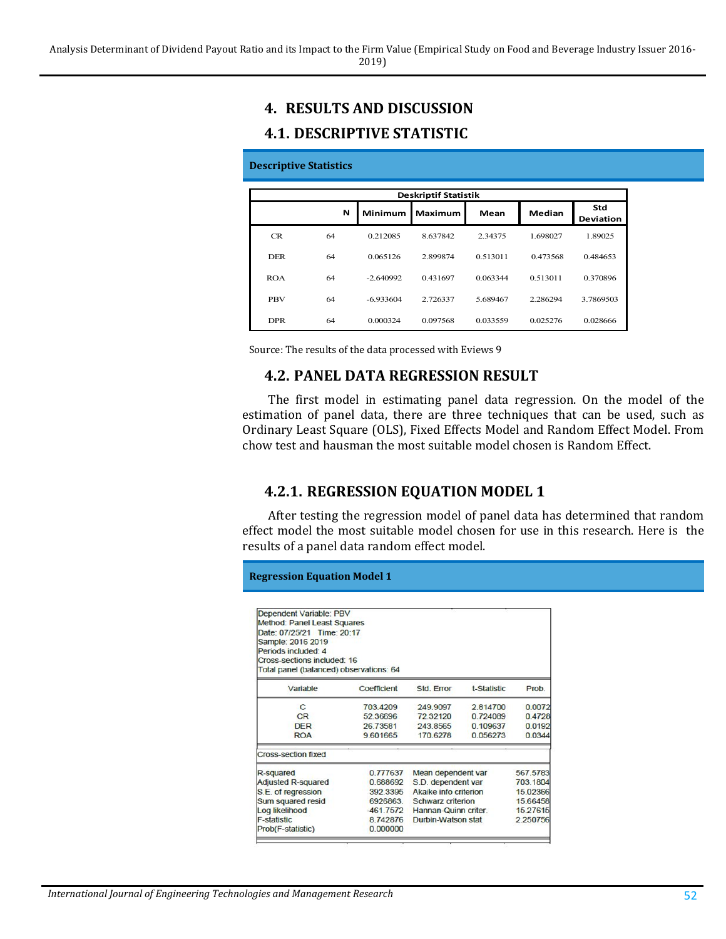# **4. RESULTS AND DISCUSSION**

### **4.1. DESCRIPTIVE STATISTIC**

#### **Descriptive Statistics**

| <b>Deskriptif Statistik</b> |    |                |          |          |          |                  |  |
|-----------------------------|----|----------------|----------|----------|----------|------------------|--|
|                             | N  | <b>Minimum</b> | Maximum  | Mean     | Median   | Std<br>Deviation |  |
| CR                          | 64 | 0.212085       | 8.637842 | 2.34375  | 1.698027 | 1.89025          |  |
| <b>DER</b>                  | 64 | 0.065126       | 2.899874 | 0.513011 | 0.473568 | 0.484653         |  |
| <b>ROA</b>                  | 64 | $-2.640992$    | 0.431697 | 0.063344 | 0.513011 | 0.370896         |  |
| <b>PBV</b>                  | 64 | $-6.933604$    | 2.726337 | 5.689467 | 2.286294 | 3.7869503        |  |
| <b>DPR</b>                  | 64 | 0.000324       | 0.097568 | 0.033559 | 0.025276 | 0.028666         |  |

Source: The results of the data processed with Eviews 9

## **4.2. PANEL DATA REGRESSION RESULT**

The first model in estimating panel data regression. On the model of the estimation of panel data, there are three techniques that can be used, such as Ordinary Least Square (OLS), Fixed Effects Model and Random Effect Model. From chow test and hausman the most suitable model chosen is Random Effect.

## **4.2.1. REGRESSION EQUATION MODEL 1**

After testing the regression model of panel data has determined that random effect model the most suitable model chosen for use in this research. Here is the results of a panel data random effect model.

**Regression Equation Model 1**

| Dependent Variable: PBV<br>Method: Panel Least Squares<br>Date: 07/25/21 Time: 20:17<br>Sample: 2016 2019<br>Periods included: 4<br>Cross-sections included: 16<br>Total panel (balanced) observations: 64 |             |                       |             |          |
|------------------------------------------------------------------------------------------------------------------------------------------------------------------------------------------------------------|-------------|-----------------------|-------------|----------|
| Variable                                                                                                                                                                                                   | Coefficient | Std Frror             | t-Statistic | Prob.    |
| C                                                                                                                                                                                                          | 703.4209    | 249,9097              | 2814700     | 0.0072   |
| CR                                                                                                                                                                                                         | 52.36696    | 7232120               | 0.724089    | 0.4728   |
| <b>DFR</b>                                                                                                                                                                                                 | 26 73581    | 243.8565              | 0.109637    | 0.0192   |
| <b>ROA</b>                                                                                                                                                                                                 | 9.601665    | 170.6278              | 0.056273    | 0.0344   |
| <b>Cross-section fixed</b>                                                                                                                                                                                 |             |                       |             |          |
| R-squared                                                                                                                                                                                                  | 0.777637    | Mean dependent var    |             | 567.5783 |
| Adjusted R-squared                                                                                                                                                                                         | 0.688692    | S.D. dependent var    |             | 703.1804 |
| S.E. of regression                                                                                                                                                                                         | 392 3395    | Akaike info criterion |             | 15.02366 |
| Sum squared resid                                                                                                                                                                                          | 6926863.    | Schwarz criterion     |             | 15.66458 |
| Log likelihood                                                                                                                                                                                             | $-461.7572$ | Hannan-Quinn criter.  |             | 15.27615 |
| <b>F-statistic</b>                                                                                                                                                                                         | 8.742876    | Durbin-Watson stat    |             | 2.250756 |
| Prob(F-statistic)                                                                                                                                                                                          | 0.000000    |                       |             |          |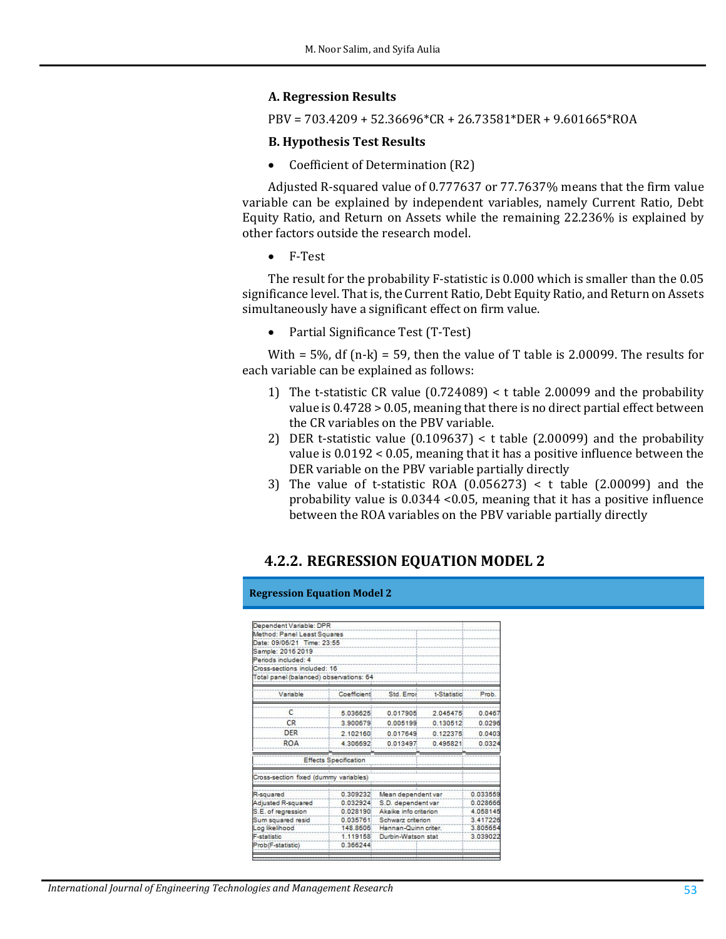#### **A. Regression Results**

PBV = 703.4209 + 52.36696\*CR + 26.73581\*DER + 9.601665\*ROA

#### **B. Hypothesis Test Results**

• Coefficient of Determination (R2)

Adjusted R-squared value of 0.777637 or 77.7637% means that the firm value variable can be explained by independent variables, namely Current Ratio, Debt Equity Ratio, and Return on Assets while the remaining 22.236% is explained by other factors outside the research model.

• F-Test

The result for the probability F-statistic is 0.000 which is smaller than the 0.05 significance level. That is, the Current Ratio, Debt Equity Ratio, and Return on Assets simultaneously have a significant effect on firm value.

• Partial Significance Test (T-Test)

With =  $5\%$ , df (n-k) = 59, then the value of T table is 2.00099. The results for each variable can be explained as follows:

- 1) The t-statistic CR value (0.724089) < t table 2.00099 and the probability value is 0.4728 > 0.05, meaning that there is no direct partial effect between the CR variables on the PBV variable.
- 2) DER t-statistic value  $(0.109637) < t$  table  $(2.00099)$  and the probability value is 0.0192 < 0.05, meaning that it has a positive influence between the DER variable on the PBV variable partially directly
- 3) The value of t-statistic ROA  $(0.056273) < t$  table  $(2.00099)$  and the probability value is 0.0344 <0.05, meaning that it has a positive influence between the ROA variables on the PBV variable partially directly

#### **4.2.2. REGRESSION EQUATION MODEL 2**

| Dependent Variable: DPR<br>Method: Panel Least Squares<br>Date: 09/06/21 Time: 23:55 |                       |             |                    |
|--------------------------------------------------------------------------------------|-----------------------|-------------|--------------------|
| Cross-sections included: 16<br>Total panel (balanced) observations: 64               |                       |             |                    |
| Coefficient                                                                          | Std. Error            | t-Statistic | Prob.              |
| 5.036625                                                                             | 0.017905              | 2.045475    | 0.0467             |
| 3.900679                                                                             | 0.005199              | 0.130512    | 0.0296             |
| 2.102160                                                                             | 0.017649              | 0.122375    | 0.0403             |
| 4.306692                                                                             | 0.013497              | 0.495821    | 0.0324             |
| <b>Effects Specification</b>                                                         |                       |             |                    |
| Cross-section fixed (dummy variables)                                                |                       |             |                    |
| 0.309232                                                                             | Mean dependent var    |             | 0.033559           |
| 0.032924                                                                             | S.D. dependent var    |             | 0.028666           |
| 0.028190                                                                             | Akaike info criterion |             | 4.058145           |
| 0.035761                                                                             | Schwarz criterion     |             | 3.417226           |
| 148,8606                                                                             | Hannan-Quinn criter.  |             | 3.805654           |
| 1.119158                                                                             |                       |             | 3.039022           |
| 0.366244                                                                             |                       |             |                    |
|                                                                                      |                       |             | Durbin-Watson stat |

**Regression Equation Model 2**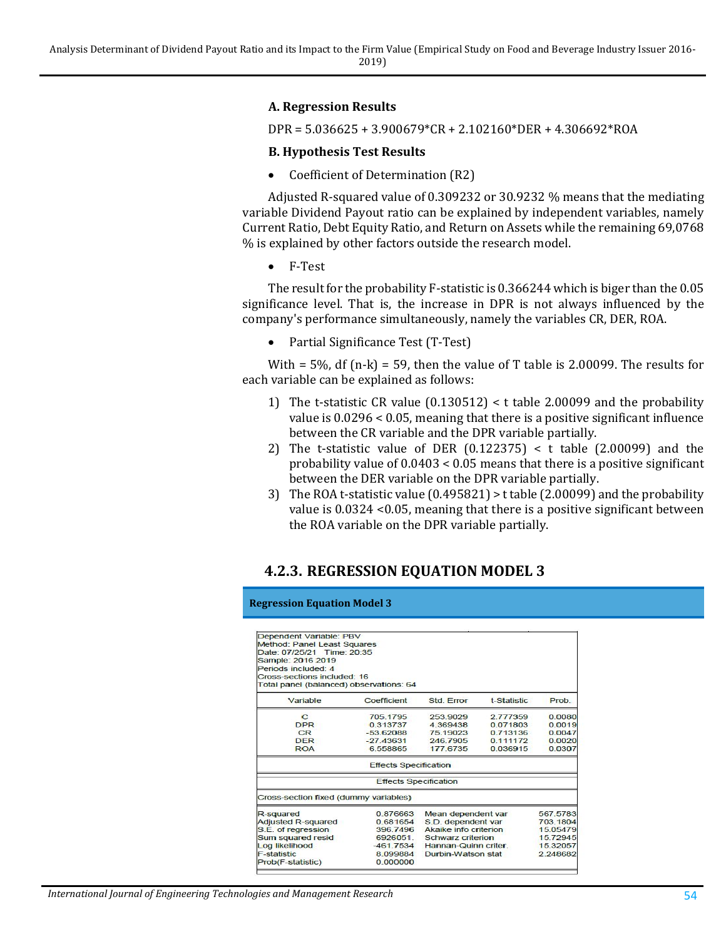#### **A. Regression Results**

DPR = 5.036625 + 3.900679\*CR + 2.102160\*DER + 4.306692\*ROA

#### **B. Hypothesis Test Results**

• Coefficient of Determination (R2)

Adjusted R-squared value of 0.309232 or 30.9232 % means that the mediating variable Dividend Payout ratio can be explained by independent variables, namely Current Ratio, Debt Equity Ratio, and Return on Assets while the remaining 69,0768 % is explained by other factors outside the research model.

• F-Test

The result for the probability F-statistic is 0.366244 which is biger than the 0.05 significance level. That is, the increase in DPR is not always influenced by the company's performance simultaneously, namely the variables CR, DER, ROA.

• Partial Significance Test (T-Test)

With = 5%, df (n-k) = 59, then the value of T table is 2.00099. The results for each variable can be explained as follows:

- 1) The t-statistic CR value (0.130512) < t table 2.00099 and the probability value is 0.0296 < 0.05, meaning that there is a positive significant influence between the CR variable and the DPR variable partially.
- 2) The t-statistic value of DER (0.122375) < t table (2.00099) and the probability value of 0.0403 < 0.05 means that there is a positive significant between the DER variable on the DPR variable partially.
- 3) The ROA t-statistic value (0.495821) > t table (2.00099) and the probability value is 0.0324 <0.05, meaning that there is a positive significant between the ROA variable on the DPR variable partially.

## **4.2.3. REGRESSION EQUATION MODEL 3**

#### **Regression Equation Model 3**

| Dependent Variable: PBV<br>Method: Panel Least Squares<br>Date: 07/25/21 Time: 20:35<br>Sample: 2016 2019<br>Periods included: 4<br>Cross-sections included: 16 |                              |                                |                    |          |
|-----------------------------------------------------------------------------------------------------------------------------------------------------------------|------------------------------|--------------------------------|--------------------|----------|
| Total panel (balanced) observations: 64                                                                                                                         |                              |                                |                    |          |
| Variable                                                                                                                                                        | Coefficient                  | Std Frror                      | <b>t-Statistic</b> | Prob.    |
| C                                                                                                                                                               | 705.1795                     | 253,9029                       | 2.777359           | 0.0080   |
| <b>DPR</b>                                                                                                                                                      | 0.313737                     | 4 369438                       | 0.071803           | 0.0019   |
| CR                                                                                                                                                              | $-5362088$                   | 75 19023                       | 0 713136           | 0.0047   |
| <b>DFR</b>                                                                                                                                                      | $-2743631$                   | 246 7905                       | 0.111172           | 0.0020   |
| <b>ROA</b>                                                                                                                                                      | 6.558865                     | 177.6735                       | 0.036915           | 0.0307   |
|                                                                                                                                                                 | <b>Effects Specification</b> |                                |                    |          |
|                                                                                                                                                                 | <b>Effects Specification</b> |                                |                    |          |
| Cross-section fixed (dummy variables)                                                                                                                           |                              |                                |                    |          |
| R-squared                                                                                                                                                       | 0876663                      | Mean dependent var             |                    | 567,5783 |
| <b>Adjusted R-squared</b>                                                                                                                                       | 0.681654                     | S.D. dependent var             |                    | 703.1804 |
| S.E. of regression                                                                                                                                              | 396 7496                     | Akaike info criterion          |                    | 15.05479 |
| Sum squared resid                                                                                                                                               | 6926051                      | Schwarz criterion              |                    | 15.72945 |
| Log likelihood                                                                                                                                                  | $-461.7534$                  | Hannan-Quinn criter.           | 15.32057           |          |
| <b>F-statistic</b>                                                                                                                                              | 8.099884                     | Durbin-Watson stat<br>2.248682 |                    |          |
| Prob(F-statistic)                                                                                                                                               | 0.000000                     |                                |                    |          |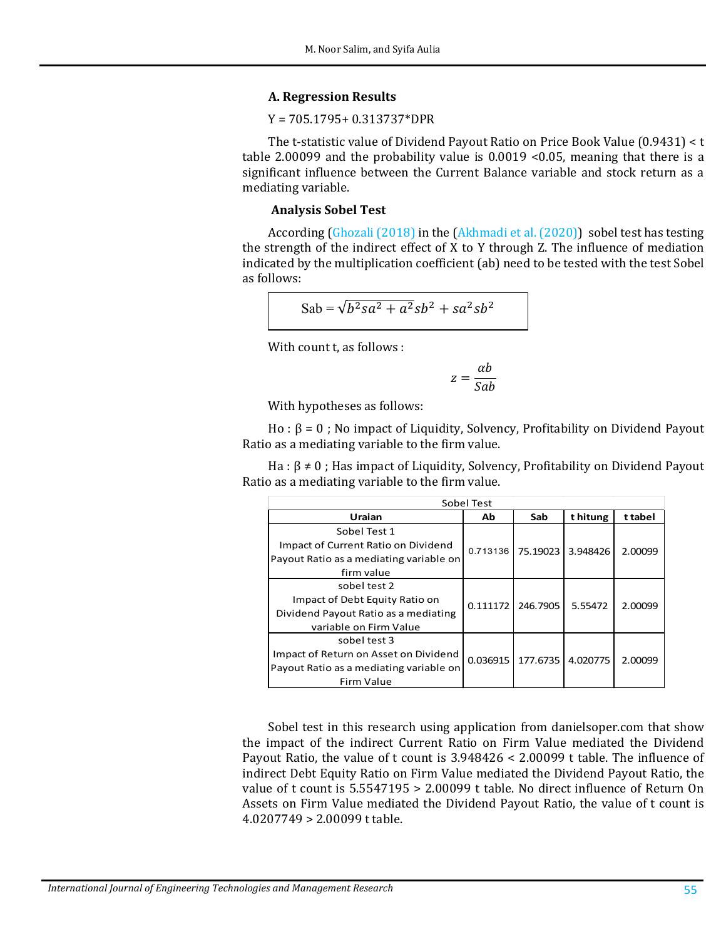#### **A. Regression Results**

#### Y = 705.1795+ 0.313737\*DPR

The t-statistic value of Dividend Payout Ratio on Price Book Value (0.9431) < t table 2.00099 and the probability value is 0.0019 <0.05, meaning that there is a significant influence between the Current Balance variable and stock return as a mediating variable.

#### **Analysis Sobel Test**

According [\(Ghozali](#page-12-2) (2018) in the [\(Akhmadi](#page-11-2) et al. (2020)) sobel test has testing the strength of the indirect effect of X to Y through Z. The influence of mediation indicated by the multiplication coefficient (ab) need to be tested with the test Sobel as follows:

$$
Sab = \sqrt{b^2sa^2 + a^2}sb^2 + sa^2sb^2
$$

With count t, as follows :

$$
z = \frac{\alpha b}{Sab}
$$

With hypotheses as follows:

Ho :  $β = 0$ ; No impact of Liquidity, Solvency, Profitability on Dividend Payout Ratio as a mediating variable to the firm value.

Ha :  $\beta \neq 0$ ; Has impact of Liquidity, Solvency, Profitability on Dividend Payout Ratio as a mediating variable to the firm value.

| Sobel Test                              |          |          |          |         |  |
|-----------------------------------------|----------|----------|----------|---------|--|
| Uraian                                  | Ab       | Sab      | t hitung | t tabel |  |
| Sobel Test 1                            |          |          |          |         |  |
| Impact of Current Ratio on Dividend     | 0.713136 | 75.19023 | 3.948426 | 2.00099 |  |
| Payout Ratio as a mediating variable on |          |          |          |         |  |
| firm value                              |          |          |          |         |  |
| sobel test 2                            |          |          |          |         |  |
| Impact of Debt Equity Ratio on          | 0.111172 | 246.7905 | 5.55472  | 2.00099 |  |
| Dividend Payout Ratio as a mediating    |          |          |          |         |  |
| variable on Firm Value                  |          |          |          |         |  |
| sobel test 3                            |          |          |          |         |  |
| Impact of Return on Asset on Dividend   | 0.036915 | 177.6735 | 4.020775 | 2.00099 |  |
| Payout Ratio as a mediating variable on |          |          |          |         |  |
| Firm Value                              |          |          |          |         |  |

Sobel test in this research using application from danielsoper.com that show the impact of the indirect Current Ratio on Firm Value mediated the Dividend Payout Ratio, the value of t count is 3.948426 < 2.00099 t table. The influence of indirect Debt Equity Ratio on Firm Value mediated the Dividend Payout Ratio, the value of t count is 5.5547195 > 2.00099 t table. No direct influence of Return On Assets on Firm Value mediated the Dividend Payout Ratio, the value of t count is 4.0207749 > 2.00099 t table.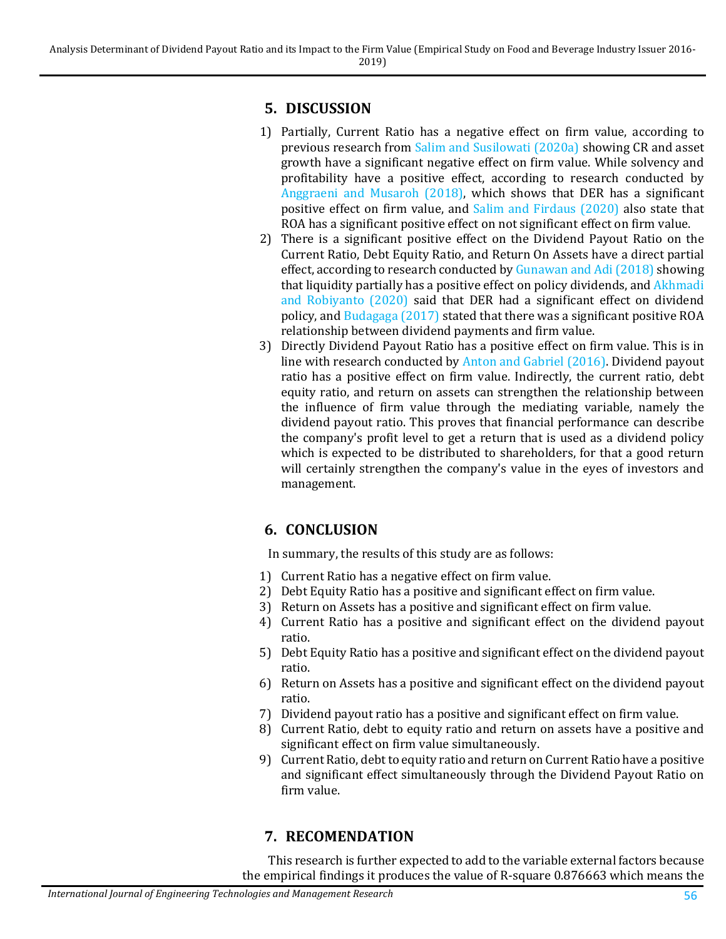## **5. DISCUSSION**

- 1) Partially, Current Ratio has a negative effect on firm value, according to previous research from Salim [and Susilowati](#page-12-3) (2020a) showing CR and asset growth have a significant negative effect on firm value. While solvency and profitability have a positive effect, according to research conducted by Anggraeni [and Musaroh](#page-11-3) (2018), which shows that DER has a significant positive effect on firm value, and Salim [and Firdaus](#page-12-4) (2020) also state that ROA has a significant positive effect on not significant effect on firm value.
- 2) There is a significant positive effect on the Dividend Payout Ratio on the Current Ratio, Debt Equity Ratio, and Return On Assets have a direct partial effect, according to research conducted b[y Gunawan](#page-12-5) and Adi (2018) showing that liquidity partially has a positive effect on policy dividends, and [Akhmadi](#page-11-2) [and Robiyanto](#page-11-2) (2020) said that DER had a significant effect on dividend policy, and [Budagaga](#page-11-4) (2017) stated that there was a significant positive ROA relationship between dividend payments and firm value.
- 3) Directly Dividend Payout Ratio [has a positive effect on firm](#page-11-5) value. This is in line with research conducted by Anton and Gabriel (2016). Dividend payout ratio has a positive effect on firm value. Indirectly, the current ratio, debt equity ratio, and return on assets can strengthen the relationship between the influence of firm value through the mediating variable, namely the dividend payout ratio. This proves that financial performance can describe the company's profit level to get a return that is used as a dividend policy which is expected to be distributed to shareholders, for that a good return will certainly strengthen the company's value in the eyes of investors and management.

# **6. CONCLUSION**

In summary, the results of this study are as follows:

- 1) Current Ratio has a negative effect on firm value.
- 2) Debt Equity Ratio has a positive and significant effect on firm value.
- 3) Return on Assets has a positive and significant effect on firm value.
- 4) Current Ratio has a positive and significant effect on the dividend payout ratio.
- 5) Debt Equity Ratio has a positive and significant effect on the dividend payout ratio.
- 6) Return on Assets has a positive and significant effect on the dividend payout ratio.
- 7) Dividend payout ratio has a positive and significant effect on firm value.
- 8) Current Ratio, debt to equity ratio and return on assets have a positive and significant effect on firm value simultaneously.
- 9) Current Ratio, debt to equity ratio and return on Current Ratio have a positive and significant effect simultaneously through the Dividend Payout Ratio on firm value.

## **7. RECOMENDATION**

This research is further expected to add to the variable external factors because the empirical findings it produces the value of R-square 0.876663 which means the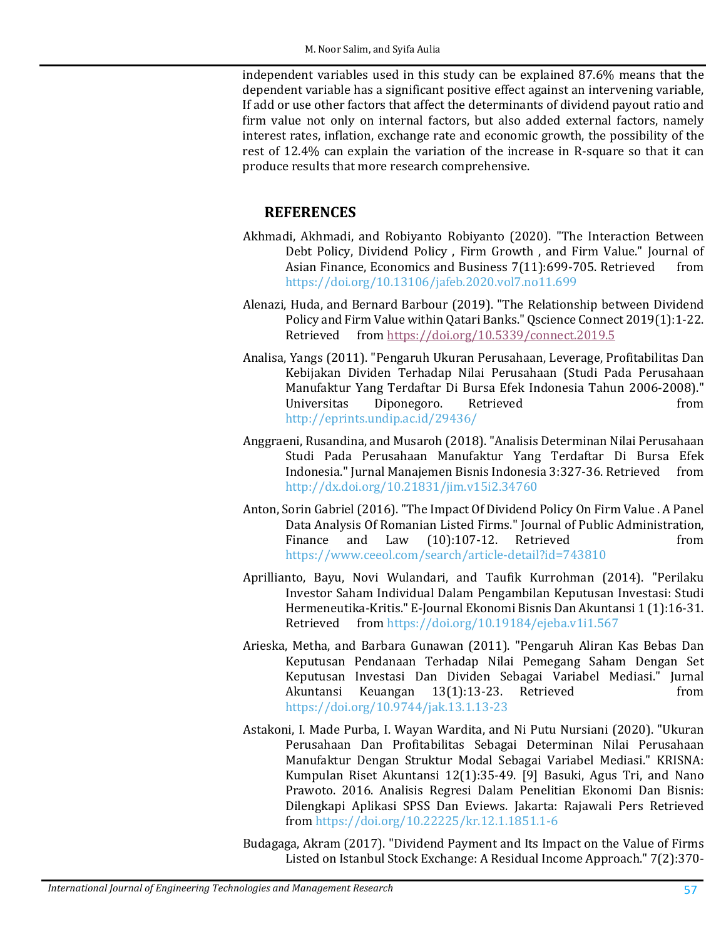independent variables used in this study can be explained 87.6% means that the dependent variable has a significant positive effect against an intervening variable, If add or use other factors that affect the determinants of dividend payout ratio and firm value not only on internal factors, but also added external factors, namely interest rates, inflation, exchange rate and economic growth, the possibility of the rest of 12.4% can explain the variation of the increase in R-square so that it can produce results that more research comprehensive.

### **REFERENCES**

- <span id="page-11-2"></span>Akhmadi, Akhmadi, and Robiyanto Robiyanto (2020). "The Interaction Between Debt Policy, Dividend Policy, Firm Growth, and Firm Value." Journal of Asian Finance. Economics and Business 7(11):699-705. Retrieved from Asian Finance, Economics and Business 7(11):699-705. Retrieved <https://doi.org/10.13106/jafeb.2020.vol7.no11.699>
- Alenazi, Huda, and Bernard Barbour (2019). "The Relationship between Dividend Policy and Firm Value within Qatari Banks." Qscience Connect 2019(1):1-22.<br>Retrieved from https://doi.org/10.5339/connect.2019.5 fro[m https://doi.org/10.5339/connect.2019.5](https://doi.org/10.5339/connect.2019.5)
- Analisa, Yangs (2011). "Pengaruh Ukuran Perusahaan, Leverage, Profitabilitas Dan Kebijakan Dividen Terhadap Nilai Perusahaan (Studi Pada Perusahaan Manufaktur Yang Terdaftar Di Bursa Efek Indonesia Tahun 2006-2008)." Diponegoro. <http://eprints.undip.ac.id/29436/>
- <span id="page-11-3"></span>Anggraeni, Rusandina, and Musaroh (2018). "Analisis Determinan Nilai Perusahaan Studi Pada Perusahaan Manufaktur Yang Terdaftar Di Bursa Efek<br>Indonesia."Iurnal-Manaiemen-Bisnis-Indonesia 3:327-36. Retrieved from Indonesia." Jurnal Manajemen Bisnis Indonesia 3:327-36. Retrieved <http://dx.doi.org/10.21831/jim.v15i2.34760>
- <span id="page-11-5"></span>Anton, Sorin Gabriel (2016). "The Impact Of Dividend Policy On Firm Value . A Panel Data Analysis Of Romanian Listed Firms." Journal of Public Administration,<br>Finance and Law (10):107-12. Retrieved from and Law  $(10):107-12$ . Retrieved <https://www.ceeol.com/search/article-detail?id=743810>
- <span id="page-11-0"></span>Aprillianto, Bayu, Novi Wulandari, and Taufik Kurrohman (2014). "Perilaku Investor Saham Individual Dalam Pengambilan Keputusan Investasi: Studi Hermeneutika-Kritis." E-Journal Ekonomi Bisnis Dan Akuntansi 1 (1):16-31.<br>Retrieved from https://doi.org/10.19184/ejeba.v1i1.567 fro[m https://doi.org/10.19184/ejeba.v1i1.567](https://doi.org/10.19184/ejeba.v1i1.567)
- <span id="page-11-1"></span>Arieska, Metha, and Barbara Gunawan (2011). "Pengaruh Aliran Kas Bebas Dan Keputusan Pendanaan Terhadap Nilai Pemegang Saham Dengan Set Keputusan Investasi Dan Dividen Sebagai Variabel Mediasi." Jurnal<br>Akuntansi Keuangan 13(1):13-23. Retrieved Akuntansi Keuangan <https://doi.org/10.9744/jak.13.1.13-23>
- Astakoni, I. Made Purba, I. Wayan Wardita, and Ni Putu Nursiani (2020). "Ukuran Perusahaan Dan Profitabilitas Sebagai Determinan Nilai Perusahaan Manufaktur Dengan Struktur Modal Sebagai Variabel Mediasi." KRISNA: Kumpulan Riset Akuntansi 12(1):35-49. [9] Basuki, Agus Tri, and Nano Prawoto. 2016. Analisis Regresi Dalam Penelitian Ekonomi Dan Bisnis: Dilengkapi Aplikasi SPSS Dan Eviews. Jakarta: Rajawali Pers Retrieved from<https://doi.org/10.22225/kr.12.1.1851.1-6>

<span id="page-11-4"></span>Budagaga, Akram (2017). "Dividend Payment and Its Impact on the Value of Firms Listed on Istanbul Stock Exchange: A Residual Income Approach." 7(2):370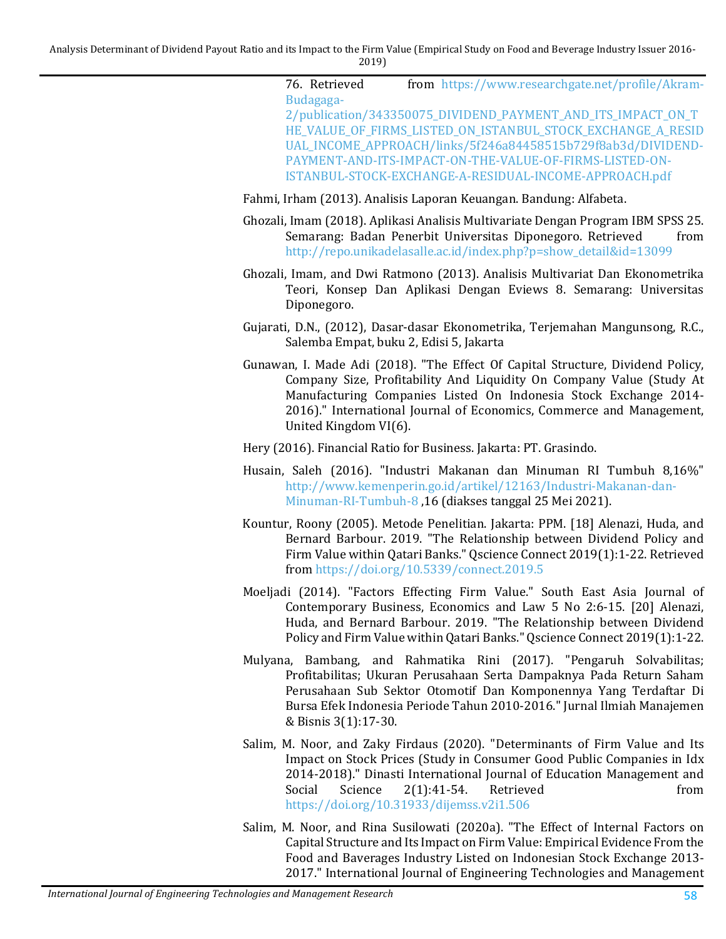[76. Retrieved from https://www.researchgate.net/profile/Akram-](https://www.researchgate.net/profile/Akram-Budagaga-2/publication/343350075_DIVIDEND_PAYMENT_AND_ITS_IMPACT_ON_THE_VALUE_OF_FIRMS_LISTED_ON_ISTANBUL_STOCK_EXCHANGE_A_RESIDUAL_INCOME_APPROACH/links/5f246a84458515b729f8ab3d/DIVIDEND-PAYMENT-AND-ITS-IMPACT-ON-THE-VALUE-OF-FIRMS-LISTED-ON-ISTANBUL-STOCK-EXCHANGE-A-RESIDUAL-INCOME-APPROACH.pdf)Budagaga-[2/publication/343350075\\_DIVIDEND\\_PAYMENT\\_AND\\_ITS\\_IMPACT\\_ON\\_T](https://www.researchgate.net/profile/Akram-Budagaga-2/publication/343350075_DIVIDEND_PAYMENT_AND_ITS_IMPACT_ON_THE_VALUE_OF_FIRMS_LISTED_ON_ISTANBUL_STOCK_EXCHANGE_A_RESIDUAL_INCOME_APPROACH/links/5f246a84458515b729f8ab3d/DIVIDEND-PAYMENT-AND-ITS-IMPACT-ON-THE-VALUE-OF-FIRMS-LISTED-ON-ISTANBUL-STOCK-EXCHANGE-A-RESIDUAL-INCOME-APPROACH.pdf)

[HE\\_VALUE\\_OF\\_FIRMS\\_LISTED\\_ON\\_ISTANBUL\\_STOCK\\_EXCHANGE\\_A\\_RESID](https://www.researchgate.net/profile/Akram-Budagaga-2/publication/343350075_DIVIDEND_PAYMENT_AND_ITS_IMPACT_ON_THE_VALUE_OF_FIRMS_LISTED_ON_ISTANBUL_STOCK_EXCHANGE_A_RESIDUAL_INCOME_APPROACH/links/5f246a84458515b729f8ab3d/DIVIDEND-PAYMENT-AND-ITS-IMPACT-ON-THE-VALUE-OF-FIRMS-LISTED-ON-ISTANBUL-STOCK-EXCHANGE-A-RESIDUAL-INCOME-APPROACH.pdf) [UAL\\_INCOME\\_APPROACH/links/5f246a84458515b729f8ab3d/DIVIDEND-](https://www.researchgate.net/profile/Akram-Budagaga-2/publication/343350075_DIVIDEND_PAYMENT_AND_ITS_IMPACT_ON_THE_VALUE_OF_FIRMS_LISTED_ON_ISTANBUL_STOCK_EXCHANGE_A_RESIDUAL_INCOME_APPROACH/links/5f246a84458515b729f8ab3d/DIVIDEND-PAYMENT-AND-ITS-IMPACT-ON-THE-VALUE-OF-FIRMS-LISTED-ON-ISTANBUL-STOCK-EXCHANGE-A-RESIDUAL-INCOME-APPROACH.pdf)[PAYMENT-AND-ITS-IMPACT-ON-THE-VALUE-OF-FIRMS-LISTED-ON-](https://www.researchgate.net/profile/Akram-Budagaga-2/publication/343350075_DIVIDEND_PAYMENT_AND_ITS_IMPACT_ON_THE_VALUE_OF_FIRMS_LISTED_ON_ISTANBUL_STOCK_EXCHANGE_A_RESIDUAL_INCOME_APPROACH/links/5f246a84458515b729f8ab3d/DIVIDEND-PAYMENT-AND-ITS-IMPACT-ON-THE-VALUE-OF-FIRMS-LISTED-ON-ISTANBUL-STOCK-EXCHANGE-A-RESIDUAL-INCOME-APPROACH.pdf)[ISTANBUL-STOCK-EXCHANGE-A-RESIDUAL-INCOME-APPROACH.pdf](https://www.researchgate.net/profile/Akram-Budagaga-2/publication/343350075_DIVIDEND_PAYMENT_AND_ITS_IMPACT_ON_THE_VALUE_OF_FIRMS_LISTED_ON_ISTANBUL_STOCK_EXCHANGE_A_RESIDUAL_INCOME_APPROACH/links/5f246a84458515b729f8ab3d/DIVIDEND-PAYMENT-AND-ITS-IMPACT-ON-THE-VALUE-OF-FIRMS-LISTED-ON-ISTANBUL-STOCK-EXCHANGE-A-RESIDUAL-INCOME-APPROACH.pdf)

- <span id="page-12-1"></span>Fahmi, Irham (2013). Analisis Laporan Keuangan. Bandung: Alfabeta.
- <span id="page-12-2"></span>Ghozali, Imam (2018). Aplikasi Analisis Multivariate Dengan Program IBM SPSS 25. Semarang: Badan Penerbit Universitas Diponegoro. Retrieved [http://repo.unikadelasalle.ac.id/index.php?p=show\\_detail&id=13099](http://repo.unikadelasalle.ac.id/index.php?p=show_detail&id=13099)
- Ghozali, Imam, and Dwi Ratmono (2013). Analisis Multivariat Dan Ekonometrika Teori, Konsep Dan Aplikasi Dengan Eviews 8. Semarang: Universitas Diponegoro.
- Gujarati, D.N., (2012), Dasar-dasar Ekonometrika, Terjemahan Mangunsong, R.C., Salemba Empat, buku 2, Edisi 5, Jakarta
- <span id="page-12-5"></span>Gunawan, I. Made Adi (2018). "The Effect Of Capital Structure, Dividend Policy, Company Size, Profitability And Liquidity On Company Value (Study At Manufacturing Companies Listed On Indonesia Stock Exchange 2014- 2016)." International Journal of Economics, Commerce and Management, United Kingdom VI(6).

<span id="page-12-0"></span>Hery (2016). Financial Ratio for Business. Jakarta: PT. Grasindo.

- Husain, Saleh (2016). "Industri Makanan dan Minuman RI Tumbuh 8,16%" [http://www.kemenperin.go.id/artikel/12163/Industri-Makanan-dan-](http://www.kemenperin.go.id/artikel/12163/Industri-Makanan-dan-Minuman-RI-Tumbuh-8)[Minuman-RI-Tumbuh-8](http://www.kemenperin.go.id/artikel/12163/Industri-Makanan-dan-Minuman-RI-Tumbuh-8) ,16 (diakses tanggal 25 Mei 2021).
- Kountur, Roony (2005). Metode Penelitian. Jakarta: PPM. [18] Alenazi, Huda, and Bernard Barbour. 2019. "The Relationship between Dividend Policy and Firm Value within Qatari Banks." Qscience Connect 2019(1):1-22. Retrieved from<https://doi.org/10.5339/connect.2019.5>
- Moeljadi (2014). "Factors Effecting Firm Value." South East Asia Journal of Contemporary Business, Economics and Law 5 No 2:6-15. [20] Alenazi, Huda, and Bernard Barbour. 2019. "The Relationship between Dividend Policy and Firm Value within Qatari Banks." Qscience Connect 2019(1):1-22.
- Mulyana, Bambang, and Rahmatika Rini (2017). "Pengaruh Solvabilitas; Profitabilitas; Ukuran Perusahaan Serta Dampaknya Pada Return Saham Perusahaan Sub Sektor Otomotif Dan Komponennya Yang Terdaftar Di Bursa Efek Indonesia Periode Tahun 2010-2016." Jurnal Ilmiah Manajemen & Bisnis 3(1):17-30.
- <span id="page-12-4"></span>Salim, M. Noor, and Zaky Firdaus (2020). "Determinants of Firm Value and Its Impact on Stock Prices (Study in Consumer Good Public Companies in Idx 2014-2018)." Dinasti International Journal of Education Management and<br>Social Science 2(1):41-54. Retrieved from  $2(1):41-54.$ <https://doi.org/10.31933/dijemss.v2i1.506>
- <span id="page-12-3"></span>Salim, M. Noor, and Rina Susilowati (2020a). "The Effect of Internal Factors on Capital Structure and Its Impact on Firm Value: Empirical Evidence From the Food and Baverages Industry Listed on Indonesian Stock Exchange 2013- 2017." International Journal of Engineering Technologies and Management